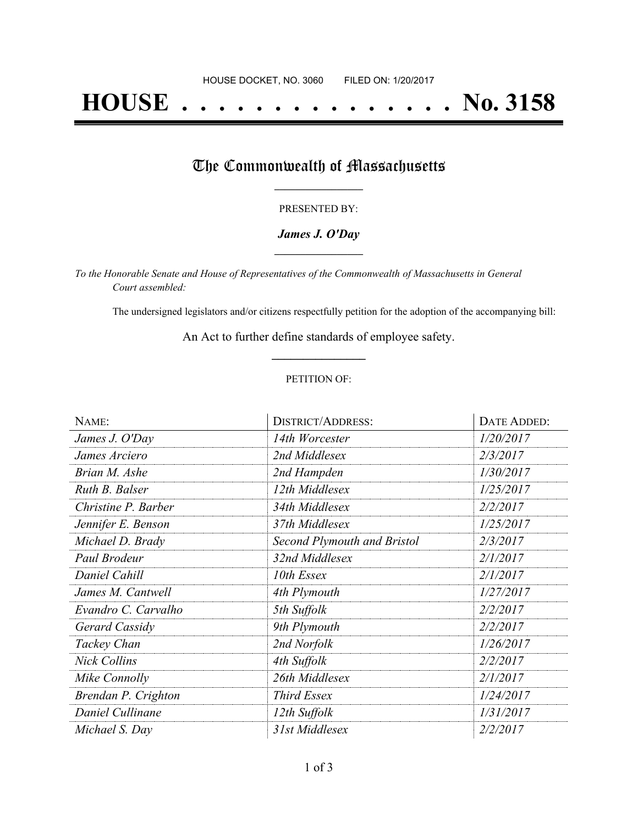# **HOUSE . . . . . . . . . . . . . . . No. 3158**

## The Commonwealth of Massachusetts

#### PRESENTED BY:

#### *James J. O'Day* **\_\_\_\_\_\_\_\_\_\_\_\_\_\_\_\_\_**

*To the Honorable Senate and House of Representatives of the Commonwealth of Massachusetts in General Court assembled:*

The undersigned legislators and/or citizens respectfully petition for the adoption of the accompanying bill:

An Act to further define standards of employee safety. **\_\_\_\_\_\_\_\_\_\_\_\_\_\_\_**

#### PETITION OF:

| NAME:               | <b>DISTRICT/ADDRESS:</b>           | DATE ADDED: |
|---------------------|------------------------------------|-------------|
| James J. O'Day      | 14th Worcester                     | 1/20/2017   |
| James Arciero       | 2nd Middlesex                      | 2/3/2017    |
| Brian M. Ashe       | 2nd Hampden                        | 1/30/2017   |
| Ruth B. Balser      | 12th Middlesex                     | 1/25/2017   |
| Christine P. Barber | 34th Middlesex                     | 2/2/2017    |
| Jennifer E. Benson  | 37th Middlesex                     | 1/25/2017   |
| Michael D. Brady    | <b>Second Plymouth and Bristol</b> | 2/3/2017    |
| Paul Brodeur        | 32nd Middlesex                     | 2/1/2017    |
| Daniel Cahill       | 10th Essex                         | 2/1/2017    |
| James M. Cantwell   | 4th Plymouth                       | 1/27/2017   |
| Evandro C. Carvalho | 5th Suffolk                        | 2/2/2017    |
| Gerard Cassidy      | 9th Plymouth                       | 2/2/2017    |
| Tackey Chan         | 2nd Norfolk                        | 1/26/2017   |
| <b>Nick Collins</b> | 4th Suffolk                        | 2/2/2017    |
| Mike Connolly       | 26th Middlesex                     | 2/1/2017    |
| Brendan P. Crighton | <b>Third Essex</b>                 | 1/24/2017   |
| Daniel Cullinane    | 12th Suffolk                       | 1/31/2017   |
| Michael S. Day      | 31st Middlesex                     | 2/2/2017    |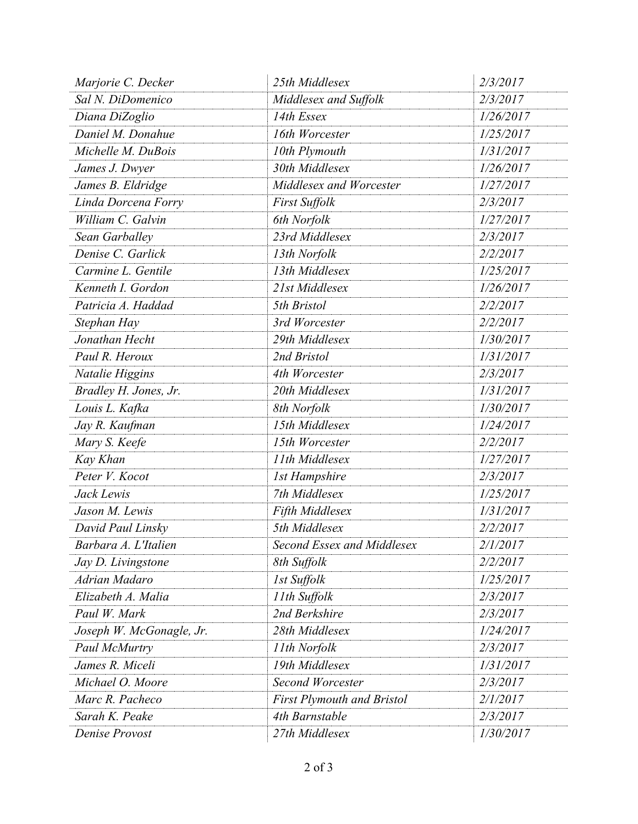| Marjorie C. Decker       | 25th Middlesex                    | 2/3/2017  |
|--------------------------|-----------------------------------|-----------|
| Sal N. DiDomenico        | Middlesex and Suffolk             | 2/3/2017  |
| Diana DiZoglio           | 14th Essex                        | 1/26/2017 |
| Daniel M. Donahue        | 16th Worcester                    | 1/25/2017 |
| Michelle M. DuBois       | 10th Plymouth                     | 1/31/2017 |
| James J. Dwyer           | 30th Middlesex                    | 1/26/2017 |
| James B. Eldridge        | Middlesex and Worcester           | 1/27/2017 |
| Linda Dorcena Forry      | <b>First Suffolk</b>              | 2/3/2017  |
| William C. Galvin        | 6th Norfolk                       | 1/27/2017 |
| Sean Garballey           | 23rd Middlesex                    | 2/3/2017  |
| Denise C. Garlick        | 13th Norfolk                      | 2/2/2017  |
| Carmine L. Gentile       | 13th Middlesex                    | 1/25/2017 |
| Kenneth I. Gordon        | 21st Middlesex                    | 1/26/2017 |
| Patricia A. Haddad       | 5th Bristol                       | 2/2/2017  |
| Stephan Hay              | 3rd Worcester                     | 2/2/2017  |
| Jonathan Hecht           | 29th Middlesex                    | 1/30/2017 |
| Paul R. Heroux           | 2nd Bristol                       | 1/31/2017 |
| Natalie Higgins          | 4th Worcester                     | 2/3/2017  |
| Bradley H. Jones, Jr.    | 20th Middlesex                    | 1/31/2017 |
| Louis L. Kafka           | 8th Norfolk                       | 1/30/2017 |
| Jay R. Kaufman           | 15th Middlesex                    | 1/24/2017 |
| Mary S. Keefe            | 15th Worcester                    | 2/2/2017  |
| Kay Khan                 | 11th Middlesex                    | 1/27/2017 |
| Peter V. Kocot           | <b>1st Hampshire</b>              | 2/3/2017  |
| Jack Lewis               | 7th Middlesex                     | 1/25/2017 |
| Jason M. Lewis           | Fifth Middlesex                   | 1/31/2017 |
| David Paul Linsky        | 5th Middlesex                     | 2/2/2017  |
| Barbara A. L'Italien     | <b>Second Essex and Middlesex</b> | 2/1/2017  |
| Jay D. Livingstone       | 8th Suffolk                       | 2/2/2017  |
| Adrian Madaro            | 1st Suffolk                       | 1/25/2017 |
| Elizabeth A. Malia       | 11th Suffolk                      | 2/3/2017  |
| Paul W. Mark             | 2nd Berkshire                     | 2/3/2017  |
| Joseph W. McGonagle, Jr. | 28th Middlesex                    | 1/24/2017 |
| Paul McMurtry            | 11th Norfolk                      | 2/3/2017  |
| James R. Miceli          | 19th Middlesex                    | 1/31/2017 |
| Michael O. Moore         | <b>Second Worcester</b>           | 2/3/2017  |
| Marc R. Pacheco          | <b>First Plymouth and Bristol</b> | 2/1/2017  |
| Sarah K. Peake           | 4th Barnstable                    | 2/3/2017  |
| Denise Provost           | 27th Middlesex                    | 1/30/2017 |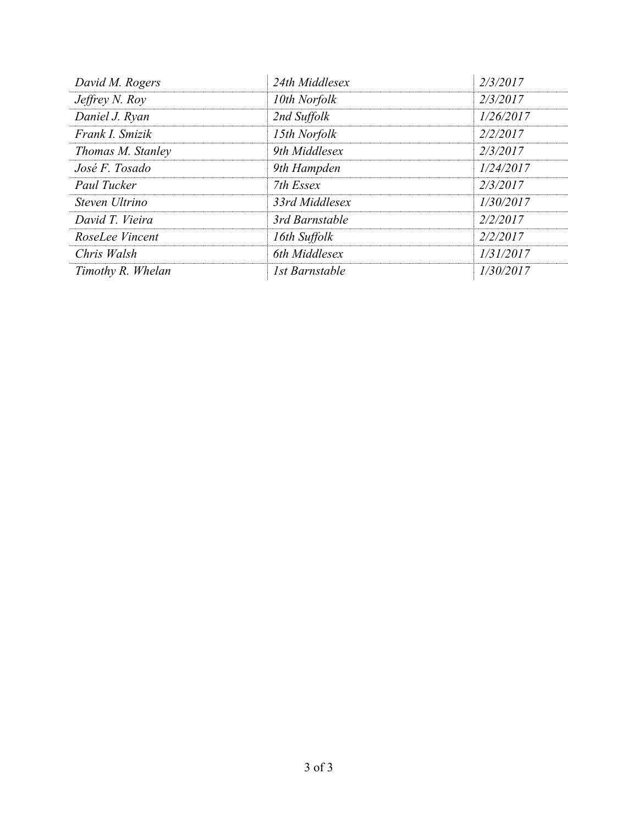| David M. Rogers   | 24th Middlesex | 2/3/2017  |
|-------------------|----------------|-----------|
| Jeffrey N. Roy    | 10th Norfolk   | 2/3/2017  |
| Daniel J. Ryan    | 2nd Suffolk    | 1/26/2017 |
| Frank I. Smizik   | 15th Norfolk   | 2/2/2017  |
| Thomas M. Stanley | 9th Middlesex  | 2/3/2017  |
| José F. Tosado    | 9th Hampden    | 1/24/2017 |
| Paul Tucker       | 7th Essex      | 2/3/2017  |
| Steven Ultrino    | 33rd Middlesex | 1/30/2017 |
| David T. Vieira   | 3rd Barnstable | 2/2/2017  |
| RoseLee Vincent   | 16th Suffolk   | 2/2/2017  |
| Chris Walsh       | 6th Middlesex  | 1/31/2017 |
| Timothy R. Whelan | 1st Barnstable | 1/30/2017 |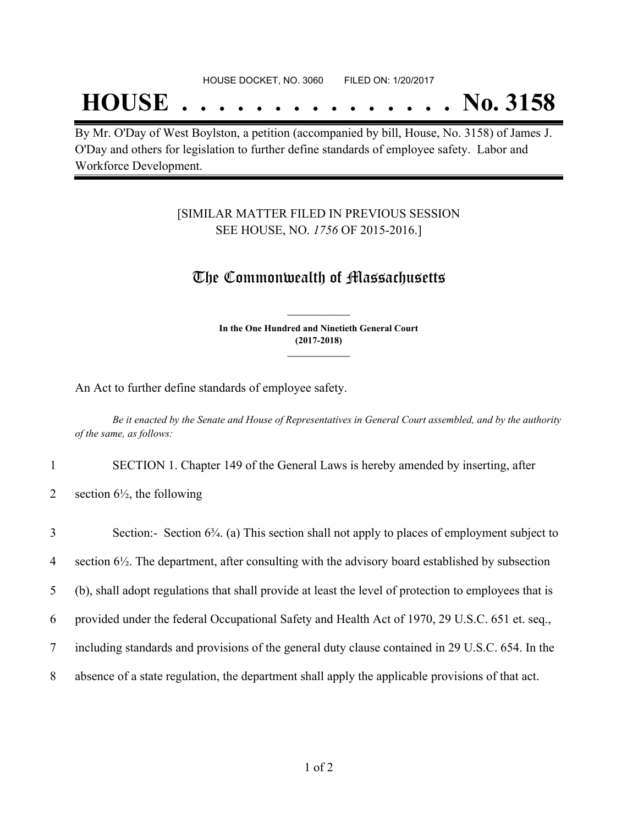## **HOUSE . . . . . . . . . . . . . . . No. 3158**

By Mr. O'Day of West Boylston, a petition (accompanied by bill, House, No. 3158) of James J. O'Day and others for legislation to further define standards of employee safety. Labor and Workforce Development.

#### [SIMILAR MATTER FILED IN PREVIOUS SESSION SEE HOUSE, NO. *1756* OF 2015-2016.]

### The Commonwealth of Massachusetts

**In the One Hundred and Ninetieth General Court (2017-2018) \_\_\_\_\_\_\_\_\_\_\_\_\_\_\_**

**\_\_\_\_\_\_\_\_\_\_\_\_\_\_\_**

An Act to further define standards of employee safety.

Be it enacted by the Senate and House of Representatives in General Court assembled, and by the authority *of the same, as follows:*

- 1 SECTION 1. Chapter 149 of the General Laws is hereby amended by inserting, after
- 2 section  $6\frac{1}{2}$ , the following

| $\overline{3}$ | Section:- Section 6 <sup>3</sup> / <sub>4</sub> . (a) This section shall not apply to places of employment subject to |
|----------------|-----------------------------------------------------------------------------------------------------------------------|
| $\overline{4}$ | section $6\frac{1}{2}$ . The department, after consulting with the advisory board established by subsection           |
| 5              | (b), shall adopt regulations that shall provide at least the level of protection to employees that is                 |
| 6              | provided under the federal Occupational Safety and Health Act of 1970, 29 U.S.C. 651 et. seq.,                        |
| 7              | including standards and provisions of the general duty clause contained in 29 U.S.C. 654. In the                      |
| 8              | absence of a state regulation, the department shall apply the applicable provisions of that act.                      |